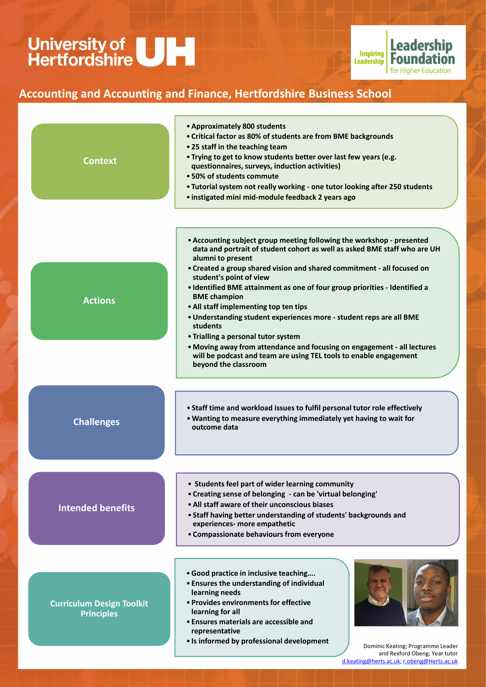

- •**Good practice in inclusive teaching….**
- **Ensures the understanding of individual learning needs**
- **Provides environments for effective learning for all**
- **Ensures materials are accessible and representative**
- **Is informed by professional development**



**experiences- more empathetic** 

• **Compassionate behaviours from everyone**

Dominic Keating; Programme Leader and Rexford Obeng; Year tutor [d.keating@herts.ac.uk;](mailto:d.keating@herts.ac.uk) [r.obeng@Herts.ac.uk](mailto:r.obeng@Herts.ac.uk)

# University of<br>Hertfordshire



### **Accounting and Accounting and Finance, Hertfordshire Business School**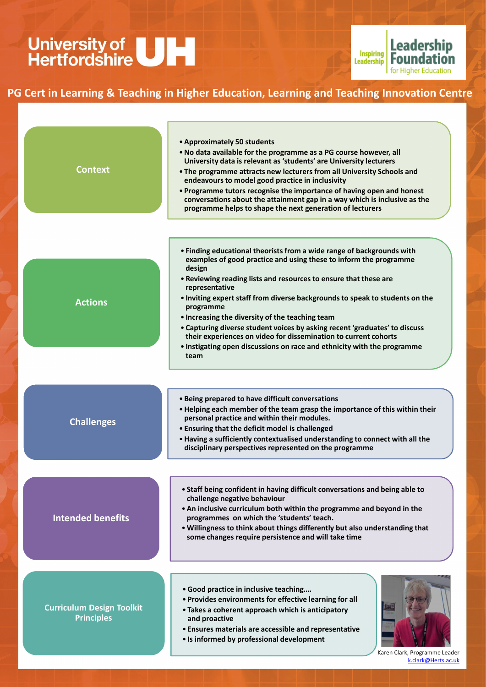| <b>Context</b>    | • Approximately 50 students<br>. No data available for the programme as a PG course however, all<br>University data is relevant as 'students' are University lecturers<br>• The programme attracts new lecturers from all University Schools and<br>endeavours to model good practice in inclusivity<br>• Programme tutors recognise the importance of having open and honest<br>conversations about the attainment gap in a way which is inclusive as the<br>programme helps to shape the next generation of lecturers                                                                                                        |
|-------------------|--------------------------------------------------------------------------------------------------------------------------------------------------------------------------------------------------------------------------------------------------------------------------------------------------------------------------------------------------------------------------------------------------------------------------------------------------------------------------------------------------------------------------------------------------------------------------------------------------------------------------------|
| <b>Actions</b>    | • Finding educational theorists from a wide range of backgrounds with<br>examples of good practice and using these to inform the programme<br>design<br>. Reviewing reading lists and resources to ensure that these are<br>representative<br>. Inviting expert staff from diverse backgrounds to speak to students on the<br>programme<br>• Increasing the diversity of the teaching team<br>• Capturing diverse student voices by asking recent 'graduates' to discuss<br>their experiences on video for dissemination to current cohorts<br>. Instigating open discussions on race and ethnicity with the programme<br>team |
| <b>Challenges</b> | • Being prepared to have difficult conversations<br>• Helping each member of the team grasp the importance of this within their<br>personal practice and within their modules.<br>• Ensuring that the deficit model is challenged<br>. Having a sufficiently contextualised understanding to connect with all the<br>disciplinary perspectives represented on the programme                                                                                                                                                                                                                                                    |
| Intended henefits | • Staff being confident in having difficult conversations and being able to<br>challenge negative behaviour<br>• An inclusive curriculum both within the programme and beyond in the<br>programmes on which the 'students' teach                                                                                                                                                                                                                                                                                                                                                                                               |

- •**Good practice in inclusive teaching….**
- **Provides environments for effective learning for all**
- **Takes a coherent approach which is anticipatory and proactive**
- **Ensures materials are accessible and representative**
- **Is informed by professional development**



**programmes on which the 'students' teach.**

•**Willingness to think about things differently but also understanding that some changes require persistence and will take time**

#### **Intended benefits**

Karen Clark, Programme Leader [k.clark@Herts.ac.uk](mailto:k.clark@Herts.ac.uk)

## University of<br>Hertfordshire



### **PG Cert in Learning & Teaching in Higher Education, Learning and Teaching Innovation Centre**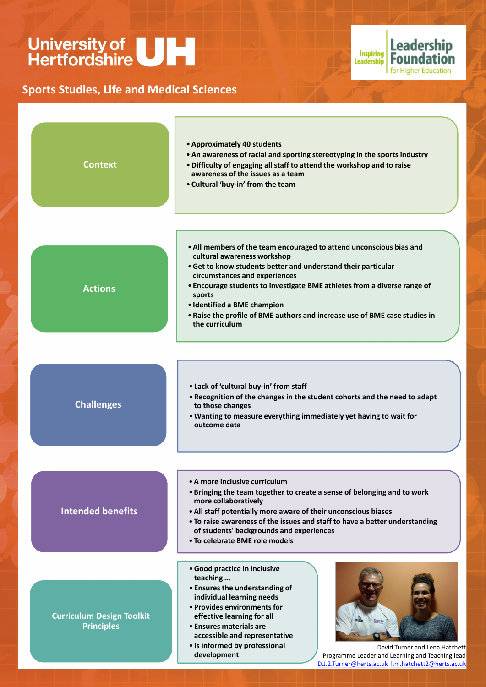

- **To raise awareness of the issues and staff to have a better understanding of students' backgrounds and experiences**
- **To celebrate BME role models**
- •**Good practice in inclusive teaching….**
- **Ensures the understanding of individual learning needs**
- **Provides environments for effective learning for all**
- **Ensures materials are accessible and representative**
- **Is informed by professional development**



**Leadership** 

for Higher Education

Inspiring Leadership |

David Turner and Lena Hatchett Programme Leader and Learning and Teaching lead [D.J.2.Turner@herts.ac.uk](mailto:D.J.2.Turner@herts.ac.uk) [l.m.hatchett2@herts.ac.uk](mailto:l.m.hatchett2@herts.ac.uk)

# University of<br>Hertfordshire

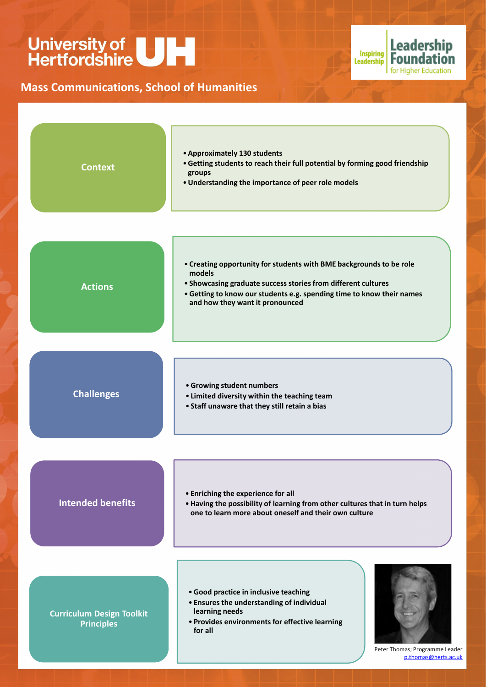

- •**Good practice in inclusive teaching**
- **Ensures the understanding of individual learning needs**
- **Provides environments for effective learning for all**



Peter Thomas; Programme Leader [p.thomas@herts.ac.uk](mailto:p.thomas@herts.ac.uk)

## University of<br>Hertfordshire



### **Mass Communications, School of Humanities**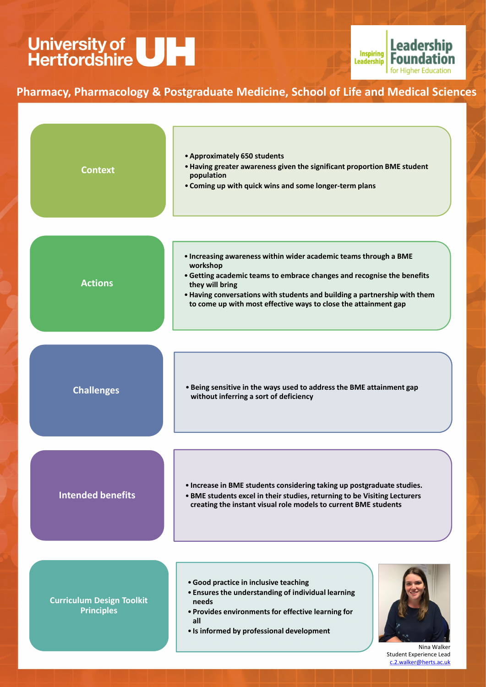

- •**Good practice in inclusive teaching**
- **Ensures the understanding of individual learning needs**
- **Provides environments for effective learning for all**
- **Is informed by professional development**



Nina Walker Student Experience Lead [c.2.walker@herts.ac.uk](mailto:c.2.walker@herts.ac.uk)

## University of<br>Hertfordshire



### **Pharmacy, Pharmacology & Postgraduate Medicine, School of Life and Medical Sciences**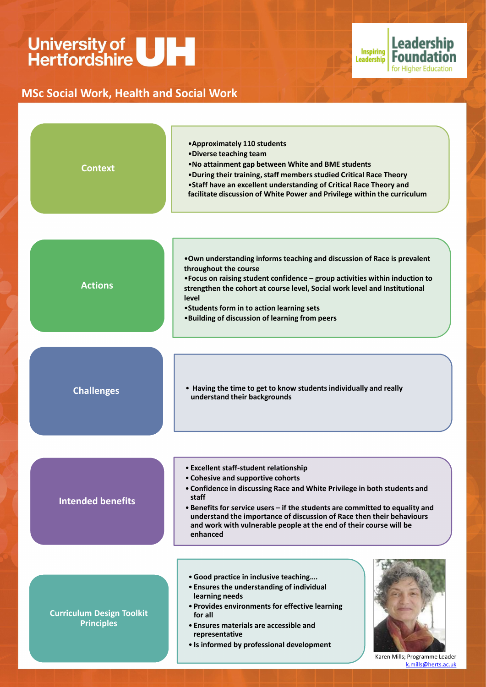

- •**Good practice in inclusive teaching….**
- **Ensures the understanding of individual learning needs**
- **Provides environments for effective learning for all**
- **Ensures materials are accessible and representative**
- **Is informed by professional development**

**and work with vulnerable people at the end of their course will be enhanced**



Karen Mills; Programme Leader [k.mills@herts.ac.uk](mailto:k.mills@Herts.ac.uk)

# University of<br>Hertfordshire



### **MSc Social Work, Health and Social Work**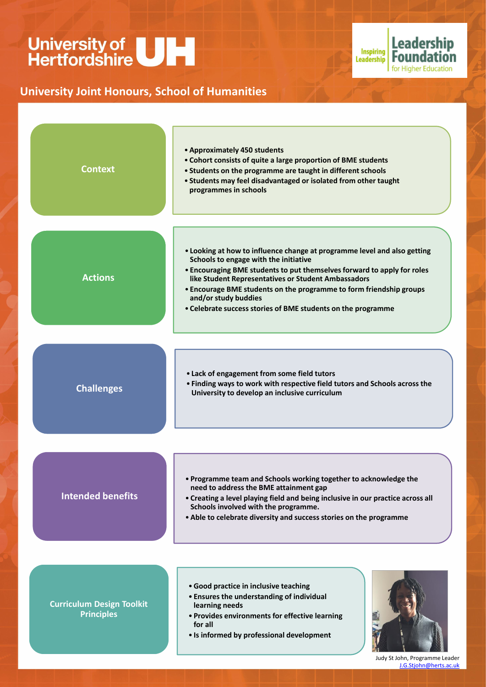

- •**Good practice in inclusive teaching**
- **Ensures the understanding of individual learning needs**
- **Provides environments for effective learning for all**
- **Is informed by professional development**



Judy St John, Programme Leader [J.G.Stjohn@herts.ac.uk](mailto:J.G.Stjohn@herts.ac.uk)

# University of<br>Hertfordshire



### **University Joint Honours, School of Humanities**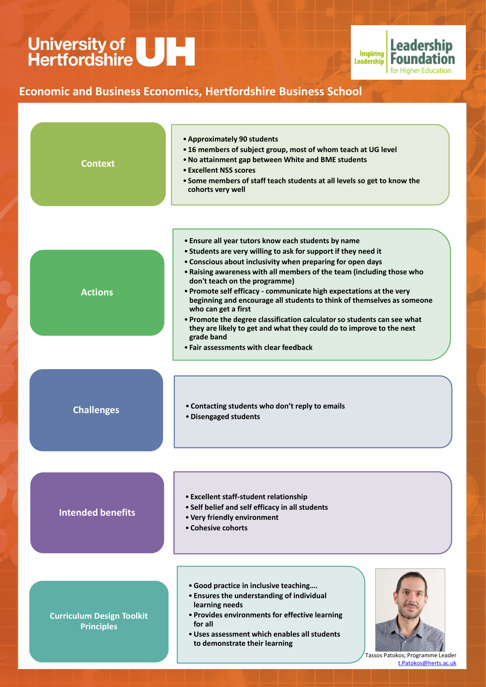

- •**Good practice in inclusive teaching….**
- **Ensures the understanding of individual learning needs**
- **Provides environments for effective learning for all**
- •**Uses assessment which enables all students to demonstrate their learning**

• **Cohesive cohorts**



Tassos Patokos; Programme Leader [t.Patokos@herts.ac.uk](mailto:t.Patokos@herts.ac.uk)

# University of<br>Hertfordshire



### **Economic and Business Economics, Hertfordshire Business School**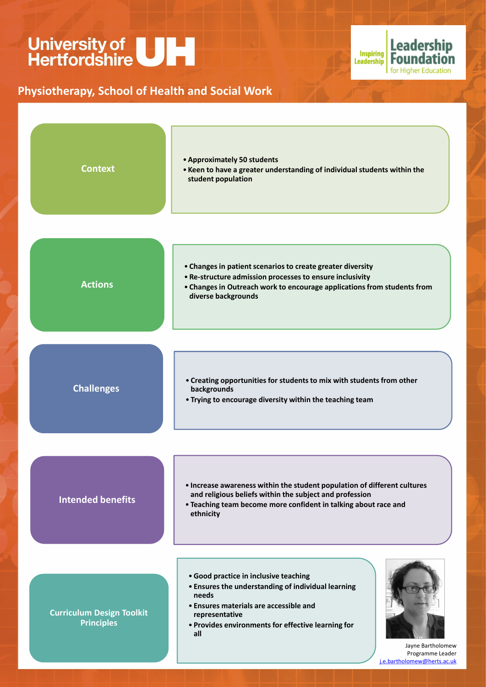- •**Good practice in inclusive teaching**
- **Ensures the understanding of individual learning needs**
- **Ensures materials are accessible and representative**
- **Provides environments for effective learning for all**





Jayne Bartholomew Programme Leader [j.e.bartholomew@herts.ac.uk](mailto:j.e.bartholomew@herts.ac.uk)

# University of<br>Hertfordshire



### **Physiotherapy, School of Health and Social Work**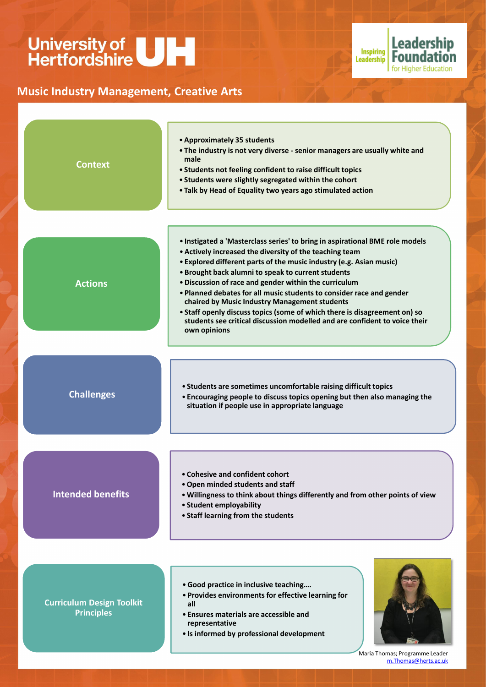

- •**Good practice in inclusive teaching….**
- **Provides environments for effective learning for all**
- **Ensures materials are accessible and representative**
- **Is informed by professional development**



Maria Thomas; Programme Leader [m.Thomas@herts.ac.uk](mailto:m.Thomas@herts.ac.uk)

# University of<br>Hertfordshire



### **Music Industry Management, Creative Arts**